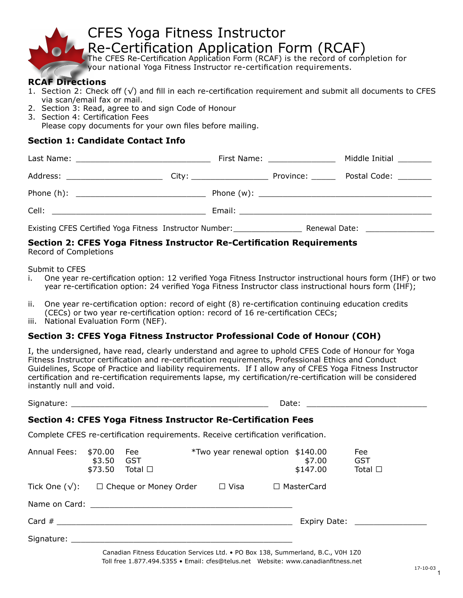

your national Yoga Fitness Instructor re-certification requirements.

### **RCAF Directions**

- 1. Section 2: Check off  $(\sqrt{})$  and fill in each re-certification requirement and submit all documents to CFES via scan/email fax or mail.
- 2. Section 3: Read, agree to and sign Code of Honour
- 3. Section 4: Certification Fees

 Please copy documents for your own files before mailing.

### **Section 1: Candidate Contact Info**

|                                                                                                     | First Name: ________________ | Middle Initial _________      |
|-----------------------------------------------------------------------------------------------------|------------------------------|-------------------------------|
| Address: ______________________________City: ___________________________________ Province: ________ |                              | Postal Code: <u>_________</u> |
|                                                                                                     |                              |                               |
|                                                                                                     |                              |                               |
| Existing CFES Certified Yoga Fitness Instructor Number: __________________                          |                              | Renewal Date: New York 1999   |

#### **Section 2: CFES Yoga Fitness Instructor Re-Certification Requirements**  Record of Completions

Submit to CFES

- i. One year re-certification option: 12 verified Yoga Fitness Instructor instructional hours form (IHF) or two year re-certification option: 24 verified Yoga Fitness Instructor class instructional hours form (IHF);
- ii. One year re-certification option: record of eight (8) re-certification continuing education credits (CECs) or two year re-certification option: record of 16 re-certification CECs;
- iii. National Evaluation Form (NEF).

### **Section 3: CFES Yoga Fitness Instructor Professional Code of Honour (COH)**

I, the undersigned, have read, clearly understand and agree to uphold CFES Code of Honour for Yoga Fitness Instructor certification and re-certification requirements, Professional Ethics and Conduct Guidelines, Scope of Practice and liability requirements. If I allow any of CFES Yoga Fitness Instructor certification and re-certification requirements lapse, my certification/re-certification will be considered instantly null and void.

Signature: \_\_\_\_\_\_\_\_\_\_\_\_\_\_\_\_\_\_\_\_\_\_\_\_\_\_\_\_\_\_\_\_\_\_\_\_\_\_\_\_\_ Date: \_\_\_\_\_\_\_\_\_\_\_\_\_\_\_\_\_\_\_\_\_\_\_\_\_

### **Section 4: CFES Yoga Fitness Instructor Re-Certification Fees**

Complete CFES re-certification requirements. Receive certification verification.

| Annual Fees:                                                                                                                                                                                                                  | \$70.00<br>\$3.50<br>\$73.50 | Fee<br><b>GST</b><br>Total $\square$ | <i>*Two year renewal option \$140.00</i> | \$7.00<br>\$147.00 | Fee<br><b>GST</b><br>Total $\Box$ |
|-------------------------------------------------------------------------------------------------------------------------------------------------------------------------------------------------------------------------------|------------------------------|--------------------------------------|------------------------------------------|--------------------|-----------------------------------|
| Tick One $(\sqrt{})$ :                                                                                                                                                                                                        |                              | $\Box$ Cheque or Money Order         | $\Box$ Visa                              | □ MasterCard       |                                   |
| Name on Card: The contract of the contract of the contract of the contract of the contract of the contract of the contract of the contract of the contract of the contract of the contract of the contract of the contract of |                              |                                      |                                          |                    |                                   |
|                                                                                                                                                                                                                               |                              |                                      |                                          |                    |                                   |
| Signature:                                                                                                                                                                                                                    |                              |                                      |                                          |                    |                                   |

Canadian Fitness Education Services Ltd. • PO Box 138, Summerland, B.C., V0H 1Z0 Toll free 1.877.494.5355 • Email: cfes@telus.net Website: www.canadianfitness.net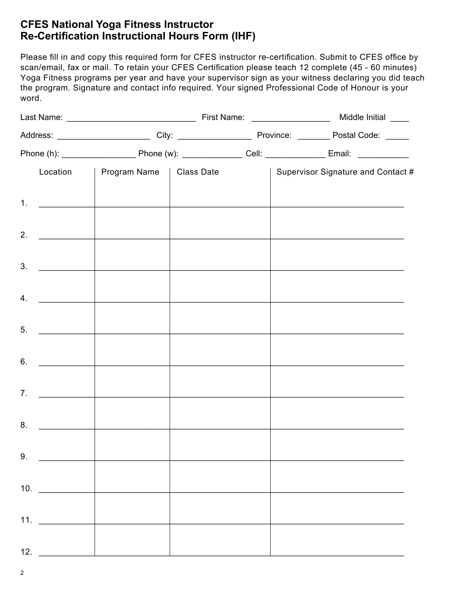# **CFES National Yoga Fitness Instructor Re-Certification Instructional Hours Form (IHF)**

Please fill in and copy this required form for CFES instructor re-certification. Submit to CFES office by scan/email, fax or mail. To retain your CFES Certification please teach 12 complete (45 - 60 minutes) Yoga Fitness programs per year and have your supervisor sign as your witness declaring you did teach the program. Signature and contact info required. Your signed Professional Code of Honour is your word.

|     |                                                                                                                                         | Location   Program Name   Class Date |  |  |  | Supervisor Signature and Contact # |  |
|-----|-----------------------------------------------------------------------------------------------------------------------------------------|--------------------------------------|--|--|--|------------------------------------|--|
|     | 1. $\qquad \qquad$                                                                                                                      |                                      |  |  |  |                                    |  |
|     | 2. $\qquad \qquad$                                                                                                                      |                                      |  |  |  |                                    |  |
| 3.  | $\begin{aligned} \mathcal{L}_{\text{max}}(\mathcal{L}_{\text{max}}) = \mathcal{L}_{\text{max}}(\mathcal{L}_{\text{max}}) \end{aligned}$ |                                      |  |  |  |                                    |  |
|     | $4.$ $\qquad \qquad$                                                                                                                    |                                      |  |  |  |                                    |  |
| 5.  |                                                                                                                                         |                                      |  |  |  |                                    |  |
|     | 6.                                                                                                                                      |                                      |  |  |  |                                    |  |
| 7.  |                                                                                                                                         |                                      |  |  |  |                                    |  |
|     | 8.                                                                                                                                      |                                      |  |  |  |                                    |  |
|     |                                                                                                                                         |                                      |  |  |  |                                    |  |
|     | 9.                                                                                                                                      |                                      |  |  |  |                                    |  |
|     | 10. $\qquad \qquad$                                                                                                                     |                                      |  |  |  |                                    |  |
|     | 11.                                                                                                                                     |                                      |  |  |  |                                    |  |
| 12. |                                                                                                                                         |                                      |  |  |  |                                    |  |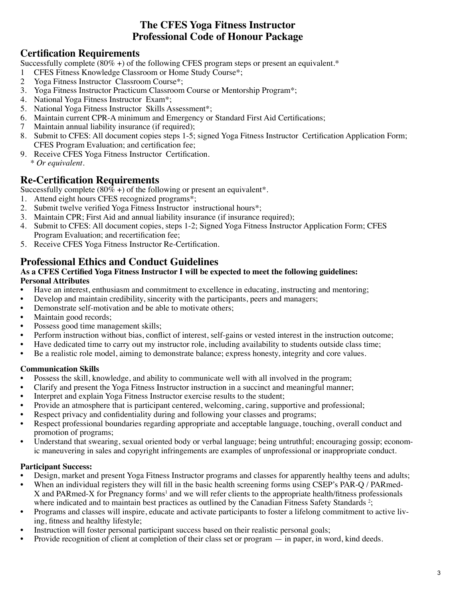## **The CFES Yoga Fitness Instructor Professional Code of Honour Package**

# **Certification Requirements**

Successfully complete  $(80\% +)$  of the following CFES program steps or present an equivalent.\*

- 1 CFES Fitness Knowledge Classroom or Home Study Course\*;
- 2 Yoga Fitness Instructor Classroom Course\*;
- 3. Yoga Fitness Instructor Practicum Classroom Course or Mentorship Program\*;
- 4. National Yoga Fitness Instructor Exam\*;
- 5. National Yoga Fitness Instructor Skills Assessment\*;
- 6. Maintain current CPR-A minimum and Emergency or Standard First Aid Certifications;
- 7 Maintain annual liability insurance (if required);
- 8. Submit to CFES: All document copies steps 1-5; signed Yoga Fitness Instructor Certification Application Form; CFES Program Evaluation; and certification fee;
- 9. Receive CFES Yoga Fitness Instructor Certification. *\* Or equivalent.*

# **Re-Certification Requirements**

Successfully complete  $(80\% +)$  of the following or present an equivalent\*.

- 1. Attend eight hours CFES recognized programs\*;
- 2. Submit twelve verified Yoga Fitness Instructor instructional hours\*;
- 3. Maintain CPR; First Aid and annual liability insurance (if insurance required);
- 4. Submit to CFES: All document copies, steps 1-2; Signed Yoga Fitness Instructor Application Form; CFES Program Evaluation; and recertification fee;
- 5. Receive CFES Yoga Fitness Instructor Re-Certification.

## **Professional Ethics and Conduct Guidelines**

#### **As a CFES Certified Yoga Fitness Instructor I will be expected to meet the following guidelines: Personal Attributes**

- Have an interest, enthusiasm and commitment to excellence in educating, instructing and mentoring;
- Develop and maintain credibility, sincerity with the participants, peers and managers;
- Demonstrate self-motivation and be able to motivate others;
- Maintain good records;
- Possess good time management skills;
- Perform instruction without bias, conflict of interest, self-gains or vested interest in the instruction outcome;
- Have dedicated time to carry out my instructor role, including availability to students outside class time;
- Be a realistic role model, aiming to demonstrate balance; express honesty, integrity and core values.

### **Communication Skills**

- Possess the skill, knowledge, and ability to communicate well with all involved in the program;
- Clarify and present the Yoga Fitness Instructor instruction in a succinct and meaningful manner;
- Interpret and explain Yoga Fitness Instructor exercise results to the student;
- Provide an atmosphere that is participant centered, welcoming, caring, supportive and professional;
- Respect privacy and confidentiality during and following your classes and programs;
- Respect professional boundaries regarding appropriate and acceptable language, touching, overall conduct and promotion of programs;
- Understand that swearing, sexual oriented body or verbal language; being untruthful; encouraging gossip; economic maneuvering in sales and copyright infringements are examples of unprofessional or inappropriate conduct.

### **Participant Success:**

- Design, market and present Yoga Fitness Instructor programs and classes for apparently healthy teens and adults;
- When an individual registers they will fill in the basic health screening forms using CSEP's PAR-Q / PARmed-X and PARmed-X for Pregnancy forms<sup>1</sup> and we will refer clients to the appropriate health/fitness professionals where indicated and to maintain best practices as outlined by the Canadian Fitness Safety Standards<sup>2</sup>;
- Programs and classes will inspire, educate and activate participants to foster a lifelong commitment to active living, fitness and healthy lifestyle;
- Instruction will foster personal participant success based on their realistic personal goals;
- Provide recognition of client at completion of their class set or program in paper, in word, kind deeds.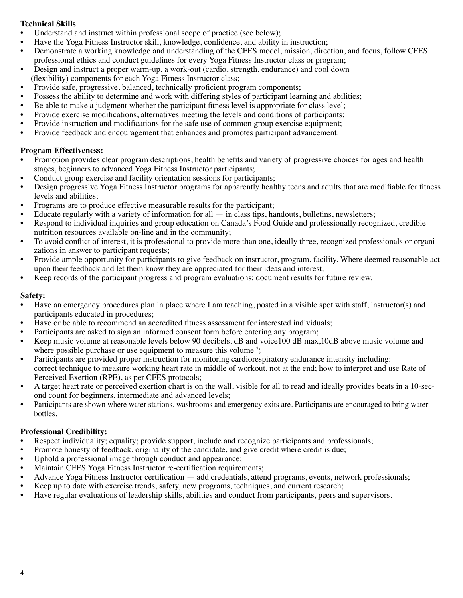#### **Technical Skills**

- Understand and instruct within professional scope of practice (see below);
- Have the Yoga Fitness Instructor skill, knowledge, confidence, and ability in instruction;
- Demonstrate a working knowledge and understanding of the CFES model, mission, direction, and focus, follow CFES professional ethics and conduct guidelines for every Yoga Fitness Instructor class or program;
- Design and instruct a proper warm-up, a work-out (cardio, strength, endurance) and cool down
- (flexibility) components for each Yoga Fitness Instructor class;
- Provide safe, progressive, balanced, technically proficient program components;
- Possess the ability to determine and work with differing styles of participant learning and abilities;
- Be able to make a judgment whether the participant fitness level is appropriate for class level;
- Provide exercise modifications, alternatives meeting the levels and conditions of participants;
- Provide instruction and modifications for the safe use of common group exercise equipment;
- Provide feedback and encouragement that enhances and promotes participant advancement.

#### **Program Effectiveness:**

- Promotion provides clear program descriptions, health benefits and variety of progressive choices for ages and health stages, beginners to advanced Yoga Fitness Instructor participants;
- Conduct group exercise and facility orientation sessions for participants;
- Design progressive Yoga Fitness Instructor programs for apparently healthy teens and adults that are modifiable for fitness levels and abilities;
- Programs are to produce effective measurable results for the participant;
- Educate regularly with a variety of information for all  $-$  in class tips, handouts, bulletins, newsletters;
- Respond to individual inquiries and group education on Canada's Food Guide and professionally recognized, credible nutrition resources available on-line and in the community;
- To avoid conflict of interest, it is professional to provide more than one, ideally three, recognized professionals or organizations in answer to participant requests;
- Provide ample opportunity for participants to give feedback on instructor, program, facility. Where deemed reasonable act upon their feedback and let them know they are appreciated for their ideas and interest;
- Keep records of the participant progress and program evaluations; document results for future review.

#### **Safety:**

- Have an emergency procedures plan in place where I am teaching, posted in a visible spot with staff, instructor(s) and participants educated in procedures;
- Have or be able to recommend an accredited fitness assessment for interested individuals;
- Participants are asked to sign an informed consent form before entering any program;
- Keep music volume at reasonable levels below 90 decibels, dB and voice100 dB max,10dB above music volume and where possible purchase or use equipment to measure this volume  $3$ ;
- Participants are provided proper instruction for monitoring cardiorespiratory endurance intensity including: correct technique to measure working heart rate in middle of workout, not at the end; how to interpret and use Rate of Perceived Exertion (RPE), as per CFES protocols;
- A target heart rate or perceived exertion chart is on the wall, visible for all to read and ideally provides beats in a 10-second count for beginners, intermediate and advanced levels;
- Participants are shown where water stations, washrooms and emergency exits are. Participants are encouraged to bring water bottles.

### **Professional Credibility:**

- Respect individuality; equality; provide support, include and recognize participants and professionals;
- Promote honesty of feedback, originality of the candidate, and give credit where credit is due;
- Uphold a professional image through conduct and appearance;
- Maintain CFES Yoga Fitness Instructor re-certification requirements;
- Advance Yoga Fitness Instructor certification add credentials, attend programs, events, network professionals;
- Keep up to date with exercise trends, safety, new programs, techniques, and current research;
- Have regular evaluations of leadership skills, abilities and conduct from participants, peers and supervisors.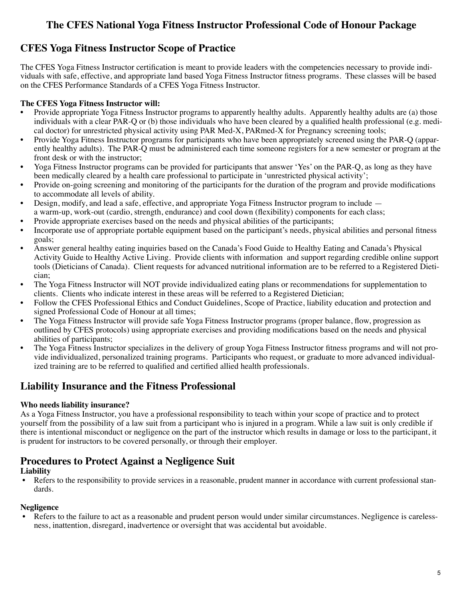# **The CFES National Yoga Fitness Instructor Professional Code of Honour Package**

# **CFES Yoga Fitness Instructor Scope of Practice**

The CFES Yoga Fitness Instructor certification is meant to provide leaders with the competencies necessary to provide individuals with safe, effective, and appropriate land based Yoga Fitness Instructor fitness programs. These classes will be based on the CFES Performance Standards of a CFES Yoga Fitness Instructor.

### **The CFES Yoga Fitness Instructor will:**

- Provide appropriate Yoga Fitness Instructor programs to apparently healthy adults. Apparently healthy adults are (a) those individuals with a clear PAR-Q or (b) those individuals who have been cleared by a qualified health professional (e.g. medical doctor) for unrestricted physical activity using PAR Med-X, PARmed-X for Pregnancy screening tools;
- Provide Yoga Fitness Instructor programs for participants who have been appropriately screened using the PAR-Q (apparently healthy adults). The PAR-Q must be administered each time someone registers for a new semester or program at the front desk or with the instructor;
- Yoga Fitness Instructor programs can be provided for participants that answer 'Yes' on the PAR-O, as long as they have been medically cleared by a health care professional to participate in 'unrestricted physical activity';
- Provide on-going screening and monitoring of the participants for the duration of the program and provide modifications to accommodate all levels of ability.
- Design, modify, and lead a safe, effective, and appropriate Yoga Fitness Instructor program to include  $-$  a warm-up, work-out (cardio, strength, endurance) and cool down (flexibility) components for each class;
- Provide appropriate exercises based on the needs and physical abilities of the participants;
- Incorporate use of appropriate portable equipment based on the participant's needs, physical abilities and personal fitness goals;
- Answer general healthy eating inquiries based on the Canada's Food Guide to Healthy Eating and Canada's Physical Activity Guide to Healthy Active Living. Provide clients with information and support regarding credible online support tools (Dieticians of Canada). Client requests for advanced nutritional information are to be referred to a Registered Dietician;
- The Yoga Fitness Instructor will NOT provide individualized eating plans or recommendations for supplementation to clients. Clients who indicate interest in these areas will be referred to a Registered Dietician;
- Follow the CFES Professional Ethics and Conduct Guidelines, Scope of Practice, liability education and protection and signed Professional Code of Honour at all times;
- The Yoga Fitness Instructor will provide safe Yoga Fitness Instructor programs (proper balance, flow, progression as outlined by CFES protocols) using appropriate exercises and providing modifications based on the needs and physical abilities of participants;
- The Yoga Fitness Instructor specializes in the delivery of group Yoga Fitness Instructor fitness programs and will not provide individualized, personalized training programs. Participants who request, or graduate to more advanced individualized training are to be referred to qualified and certified allied health professionals.

## **Liability Insurance and the Fitness Professional**

### **Who needs liability insurance?**

As a Yoga Fitness Instructor, you have a professional responsibility to teach within your scope of practice and to protect yourself from the possibility of a law suit from a participant who is injured in a program. While a law suit is only credible if there is intentional misconduct or negligence on the part of the instructor which results in damage or loss to the participant, it is prudent for instructors to be covered personally, or through their employer.

## **Procedures to Protect Against a Negligence Suit**

### **Liability**

• Refers to the responsibility to provide services in a reasonable, prudent manner in accordance with current professional standards.

### **Negligence**

Refers to the failure to act as a reasonable and prudent person would under similar circumstances. Negligence is carelessness, inattention, disregard, inadvertence or oversight that was accidental but avoidable.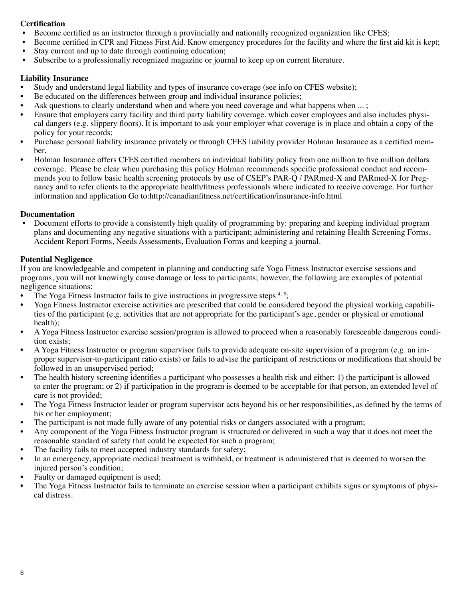### **Certification**

- Become certified as an instructor through a provincially and nationally recognized organization like CFES;
- Become certified in CPR and Fitness First Aid. Know emergency procedures for the facility and where the first aid kit is kept;
- Stay current and up to date through continuing education;
- Subscribe to a professionally recognized magazine or journal to keep up on current literature.

#### **Liability Insurance**

- Study and understand legal liability and types of insurance coverage (see info on CFES website);
- Be educated on the differences between group and individual insurance policies;
- Ask questions to clearly understand when and where you need coverage and what happens when  $\dots$ :
- Ensure that employers carry facility and third party liability coverage, which cover employees and also includes physical dangers (e.g. slippery floors). It is important to ask your employer what coverage is in place and obtain a copy of the policy for your records;
- Purchase personal liability insurance privately or through CFES liability provider Holman Insurance as a certified member.
- Holman Insurance offers CFES certified members an individual liability policy from one million to five million dollars coverage. Please be clear when purchasing this policy Holman recommends specific professional conduct and recommends you to follow basic health screening protocols by use of CSEP's PAR-Q / PARmed-X and PARmed-X for Pregnancy and to refer clients to the appropriate health/fitness professionals where indicated to receive coverage. For further information and application Go to:http://canadianfitness.net/certification/insurance-info.html

#### **Documentation**

Document efforts to provide a consistently high quality of programming by: preparing and keeping individual program plans and documenting any negative situations with a participant; administering and retaining Health Screening Forms, Accident Report Forms, Needs Assessments, Evaluation Forms and keeping a journal.

#### **Potential Negligence**

If you are knowledgeable and competent in planning and conducting safe Yoga Fitness Instructor exercise sessions and programs, you will not knowingly cause damage or loss to participants; however, the following are examples of potential negligence situations:

- The Yoga Fitness Instructor fails to give instructions in progressive steps  $4.5$ ;
- Yoga Fitness Instructor exercise activities are prescribed that could be considered beyond the physical working capabilities of the participant (e.g. activities that are not appropriate for the participant's age, gender or physical or emotional health);
- A Yoga Fitness Instructor exercise session/program is allowed to proceed when a reasonably foreseeable dangerous condition exists;
- A Yoga Fitness Instructor or program supervisor fails to provide adequate on-site supervision of a program (e.g. an improper supervisor-to-participant ratio exists) or fails to advise the participant of restrictions or modifications that should be followed in an unsupervised period;
- The health history screening identifies a participant who possesses a health risk and either: 1) the participant is allowed to enter the program; or 2) if participation in the program is deemed to be acceptable for that person, an extended level of care is not provided;
- The Yoga Fitness Instructor leader or program supervisor acts beyond his or her responsibilities, as defined by the terms of his or her employment;
- The participant is not made fully aware of any potential risks or dangers associated with a program;
- Any component of the Yoga Fitness Instructor program is structured or delivered in such a way that it does not meet the reasonable standard of safety that could be expected for such a program;
- The facility fails to meet accepted industry standards for safety;
- In an emergency, appropriate medical treatment is withheld, or treatment is administered that is deemed to worsen the injured person's condition;
- Faulty or damaged equipment is used;
- The Yoga Fitness Instructor fails to terminate an exercise session when a participant exhibits signs or symptoms of physical distress.